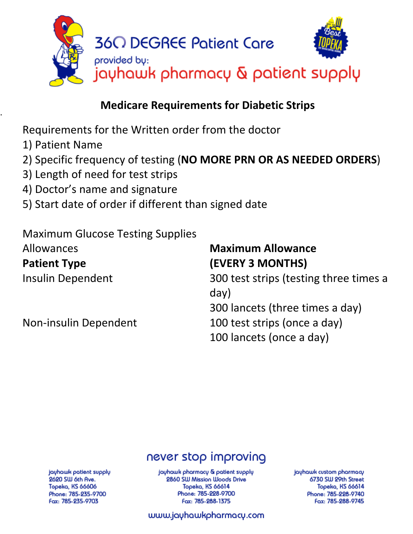

# . **Medicare Requirements for Diabetic Strips**

Requirements for the Written order from the doctor

- 1) Patient Name
- 2) Specific frequency of testing (**NO MORE PRN OR AS NEEDED ORDERS**)
- 3) Length of need for test strips
- 4) Doctor's name and signature
- 5) Start date of order if different than signed date

Maximum Glucose Testing Supplies Allowances

**Patient Type** 

# **Maximum Allowance (EVERY 3 MONTHS)**

Insulin Dependent 300 test strips (testing three times a day) 300 lancets (three times a day) Non-insulin Dependent 100 test strips (once a day)

100 lancets (once a day)

# never stop improving

jayhawk patient supply 2620 SW 6th Ave. Topeka, KS 66606 Phone: 785-235-9700 Fax: 785-235-9703

jayhawk pharmacy & patient supply 2860 SW Mission Woods Drive Topeka, KS 66614 Phone: 785-228-9700 Fax: 785-288-1375

jayhawk custom pharmacy 6730 SW 29th Street **Topeka, KS 66614** Phone: 785-228-9740 Fax: 785-288-9745

www.jayhawkpharmacy.com